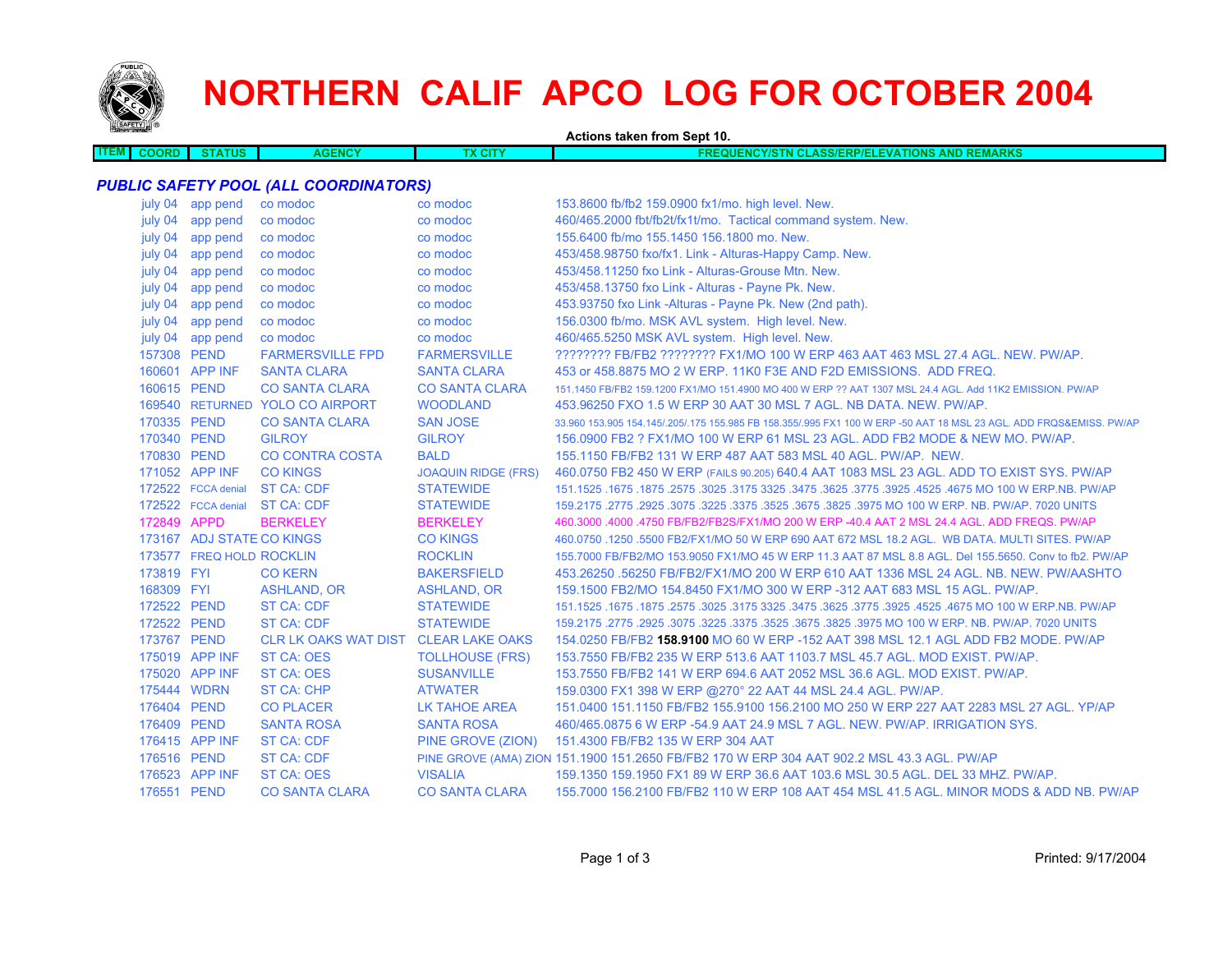

**ITEM**

# **NORTHERN CALIF APCO LOG FOR OCTOBER 2004**

**Actions taken from Sept 10.**

| мı<br><b>TATUS</b><br><b>COORD</b><br>ENCY<br>IOVIO<br>$\mathbf{H}$<br>  CLASS/ERP/ELEVATIONS /<br>$\cdots$ | <b>AND RE</b><br>EMARKS |
|-------------------------------------------------------------------------------------------------------------|-------------------------|
|                                                                                                             |                         |

#### *PUBLIC SAFETY POOL (ALL COORDINATORS)*

| july 04     | app pend                  | co modoc                             | co modoc                   | 153.8600 fb/fb2 159.0900 fx1/mo. high level. New.                                                                   |
|-------------|---------------------------|--------------------------------------|----------------------------|---------------------------------------------------------------------------------------------------------------------|
| july 04     | app pend                  | co modoc                             | co modoc                   | 460/465.2000 fbt/fb2t/fx1t/mo. Tactical command system. New.                                                        |
| july 04     | app pend                  | co modoc                             | co modoc                   | 155.6400 fb/mo 155.1450 156.1800 mo. New.                                                                           |
| july 04     | app pend                  | co modoc                             | co modoc                   | 453/458.98750 fxo/fx1. Link - Alturas-Happy Camp. New.                                                              |
| july 04     | app pend                  | co modoc                             | co modoc                   | 453/458.11250 fxo Link - Alturas-Grouse Mtn. New.                                                                   |
| july 04     | app pend                  | co modoc                             | co modoc                   | 453/458.13750 fxo Link - Alturas - Payne Pk. New.                                                                   |
| july 04     | app pend                  | co modoc                             | co modoc                   | 453.93750 fxo Link -Alturas - Payne Pk. New (2nd path).                                                             |
| july 04     | app pend                  | co modoc                             | co modoc                   | 156.0300 fb/mo. MSK AVL system. High level. New.                                                                    |
|             | july 04 app pend          | co modoc                             | co modoc                   | 460/465.5250 MSK AVL system. High level. New.                                                                       |
| 157308 PEND |                           | <b>FARMERSVILLE FPD</b>              | <b>FARMERSVILLE</b>        | ???????? FB/FB2 ???????? FX1/MO 100 W ERP 463 AAT 463 MSL 27.4 AGL. NEW. PW/AP.                                     |
|             | 160601 APP INF            | <b>SANTA CLARA</b>                   | <b>SANTA CLARA</b>         | 453 or 458.8875 MO 2 W ERP. 11K0 F3E AND F2D EMISSIONS. ADD FREQ.                                                   |
| 160615 PEND |                           | <b>CO SANTA CLARA</b>                | <b>CO SANTA CLARA</b>      | 151.1450 FB/FB2 159.1200 FX1/MO 151.4900 MO 400 W ERP ?? AAT 1307 MSL 24.4 AGL. Add 11K2 EMISSION, PW/AP            |
|             |                           | 169540 RETURNED YOLO CO AIRPORT      | <b>WOODLAND</b>            | 453,96250 FXO 1.5 W ERP 30 AAT 30 MSL 7 AGL, NB DATA, NEW, PW/AP,                                                   |
| 170335 PEND |                           | <b>CO SANTA CLARA</b>                | <b>SAN JOSE</b>            | 33.960 153.905 154.145/.205/.175 155.985 FB 158.355/.995 FX1 100 W ERP -50 AAT 18 MSL 23 AGL. ADD FRQS&EMISS. PW/AP |
| 170340 PEND |                           | <b>GILROY</b>                        | <b>GILROY</b>              | 156,0900 FB2 ? FX1/MO 100 W ERP 61 MSL 23 AGL. ADD FB2 MODE & NEW MO. PW/AP.                                        |
| 170830 PEND |                           | <b>CO CONTRA COSTA</b>               | <b>BALD</b>                | 155.1150 FB/FB2 131 W ERP 487 AAT 583 MSL 40 AGL, PW/AP, NEW.                                                       |
|             | 171052 APP INF            | <b>CO KINGS</b>                      | <b>JOAQUIN RIDGE (FRS)</b> | 460.0750 FB2 450 W ERP (FAILS 90.205) 640.4 AAT 1083 MSL 23 AGL. ADD TO EXIST SYS. PW/AP                            |
|             | 172522 FCCA denial        | <b>ST CA: CDF</b>                    | <b>STATEWIDE</b>           | 151.1525 .1675 .1875 .2575 .3025 .3175 3325 .3475 .3625 .3775 .3925 .4525 .4675 .1675 .1675 .1675 .1675 .1671       |
|             | 172522 FCCA denial        | ST CA: CDF                           | <b>STATEWIDE</b>           | 159.2175 .2775 .2925 .3075 .3225 .3675 .3675 .3625 .3925 .3975 MO 100 W ERP. NB. PW/AP. 7020 UNITS                  |
| 172849 APPD |                           | <b>BERKELEY</b>                      | <b>BERKELEY</b>            | 460.3000 .4000 .4750 FB/FB2/FB2S/FX1/MO 200 W ERP -40.4 AAT 2 MSL 24.4 AGL. ADD FREQS. PW/AP                        |
|             | 173167 ADJ STATE CO KINGS |                                      | <b>CO KINGS</b>            | 460.0750 .1250 .5500 FB2/FX1/MO 50 W ERP 690 AAT 672 MSL 18.2 AGL. WB DATA. MULTI SITES. PW/AP                      |
|             | 173577 FREQ HOLD ROCKLIN  |                                      | <b>ROCKLIN</b>             | 155.7000 FB/FB2/MO 153.9050 FX1/MO 45 W ERP 11.3 AAT 87 MSL 8.8 AGL. Del 155.5650. Conv to fb2. PW/AP               |
| 173819 FYI  |                           | <b>CO KERN</b>                       | <b>BAKERSFIELD</b>         | 453.26250 .56250 FB/FB2/FX1/MO 200 W ERP 610 AAT 1336 MSL 24 AGL, NB, NEW, PW/AASHTO                                |
| 168309 FYI  |                           | <b>ASHLAND, OR</b>                   | ASHLAND, OR                | 159.1500 FB2/MO 154.8450 FX1/MO 300 W ERP -312 AAT 683 MSL 15 AGL, PW/AP.                                           |
| 172522 PEND |                           | <b>ST CA: CDF</b>                    | <b>STATEWIDE</b>           | 1675.1675. T675.1625.1675. 2025. 2025. 2775.3625. 3475. 2025. 2025. 2025. 2025. 2575. 1675. 1675. 167               |
| 172522 PEND |                           | ST CA: CDF                           | <b>STATEWIDE</b>           | 159.2175 .2775 .2925 .3075 .3225 .3675 .3675 .3625 .3925 .3975 MO 100 W ERP. NB. PW/AP. 7020 UNITS                  |
| 173767 PEND |                           | CLR LK OAKS WAT DIST CLEAR LAKE OAKS |                            | 154.0250 FB/FB2 158.9100 MO 60 W ERP -152 AAT 398 MSL 12.1 AGL ADD FB2 MODE. PW/AP                                  |
|             | 175019 APP INF            | <b>ST CA: OES</b>                    | <b>TOLLHOUSE (FRS)</b>     | 153.7550 FB/FB2 235 W ERP 513.6 AAT 1103.7 MSL 45.7 AGL. MOD EXIST, PW/AP.                                          |
|             | 175020 APP INF            | <b>ST CA: OES</b>                    | <b>SUSANVILLE</b>          | 153.7550 FB/FB2 141 W ERP 694.6 AAT 2052 MSL 36.6 AGL, MOD EXIST, PW/AP.                                            |
| 175444 WDRN |                           | ST CA: CHP                           | <b>ATWATER</b>             | 159.0300 FX1 398 W ERP @270° 22 AAT 44 MSL 24.4 AGL. PW/AP.                                                         |
| 176404 PEND |                           | <b>CO PLACER</b>                     | <b>LK TAHOE AREA</b>       | 151.0400 151.1150 FB/FB2 155.9100 156.2100 MO 250 W ERP 227 AAT 2283 MSL 27 AGL. YP/AP                              |
| 176409 PEND |                           | <b>SANTA ROSA</b>                    | <b>SANTA ROSA</b>          | 460/465.0875 6 W ERP -54.9 AAT 24.9 MSL 7 AGL. NEW. PW/AP. IRRIGATION SYS.                                          |
|             | 176415 APP INF            | ST CA: CDF                           | PINE GROVE (ZION)          | 151.4300 FB/FB2 135 W ERP 304 AAT                                                                                   |
| 176516 PEND |                           | <b>ST CA: CDF</b>                    |                            | PINE GROVE (AMA) ZION 151.1900 151.2650 FB/FB2 170 W ERP 304 AAT 902.2 MSL 43.3 AGL. PW/AP                          |
|             | 176523 APP INF            | <b>ST CA: OES</b>                    | <b>VISALIA</b>             | 159.1350 159.1950 FX1 89 W ERP 36.6 AAT 103.6 MSL 30.5 AGL. DEL 33 MHZ. PW/AP.                                      |
| 176551 PEND |                           | <b>CO SANTA CLARA</b>                | <b>CO SANTA CLARA</b>      | 155.7000 156.2100 FB/FB2 110 W ERP 108 AAT 454 MSL 41.5 AGL. MINOR MODS & ADD NB. PW/AP                             |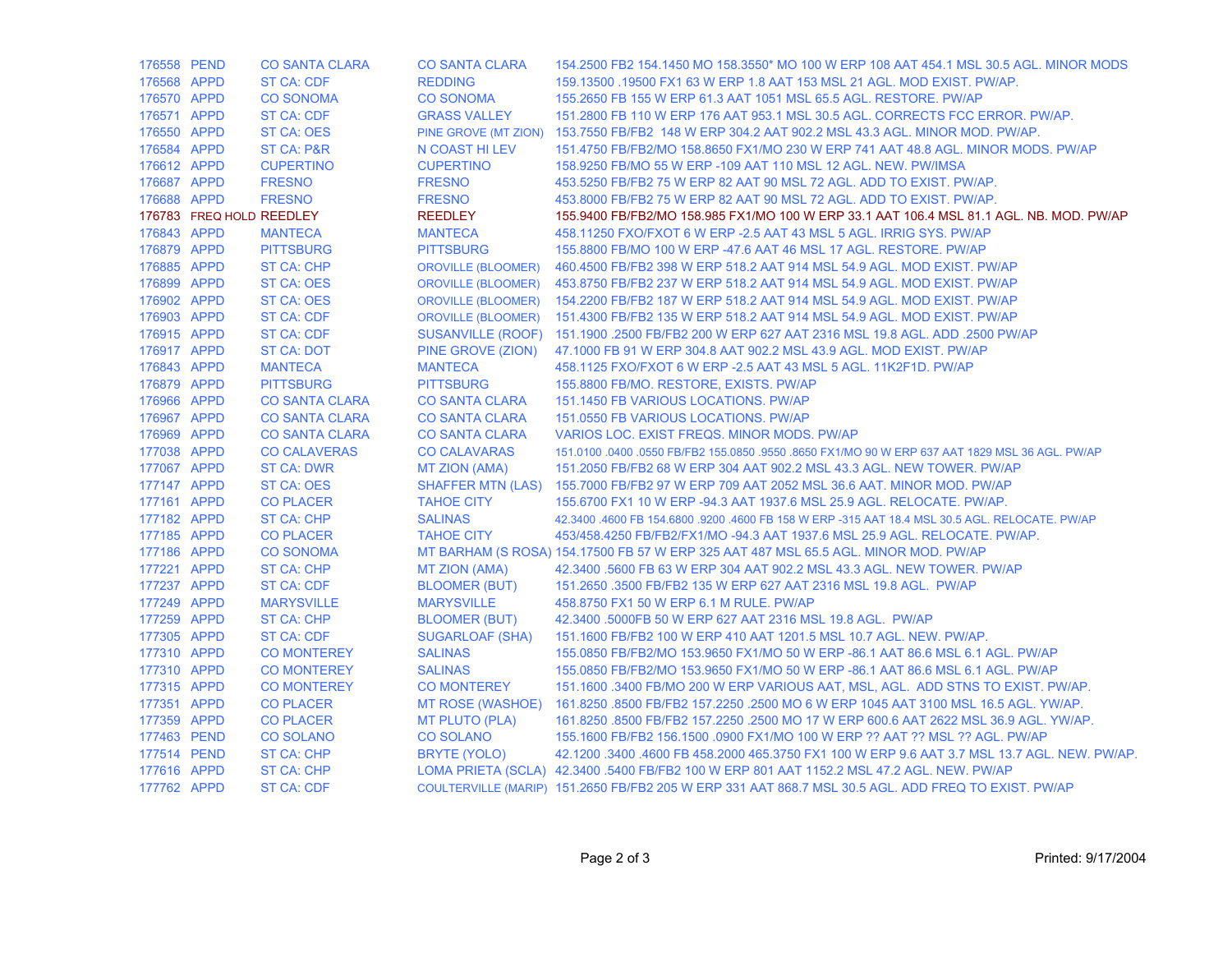| 176558 PEND |                          | <b>CO SANTA CLARA</b> | <b>CO SANTA CLARA</b>     | 154.2500 FB2 154.1450 MO 158.3550* MO 100 W ERP 108 AAT 454.1 MSL 30.5 AGL. MINOR MODS              |
|-------------|--------------------------|-----------------------|---------------------------|-----------------------------------------------------------------------------------------------------|
| 176568 APPD |                          | <b>ST CA: CDF</b>     | <b>REDDING</b>            | 159.13500 .19500 FX1 63 W ERP 1.8 AAT 153 MSL 21 AGL, MOD EXIST, PW/AP.                             |
| 176570 APPD |                          | <b>CO SONOMA</b>      | <b>CO SONOMA</b>          | 155.2650 FB 155 W ERP 61.3 AAT 1051 MSL 65.5 AGL. RESTORE. PW/AP                                    |
| 176571 APPD |                          | <b>ST CA: CDF</b>     | <b>GRASS VALLEY</b>       | 151,2800 FB 110 W ERP 176 AAT 953.1 MSL 30.5 AGL, CORRECTS FCC ERROR, PW/AP.                        |
| 176550 APPD |                          | <b>ST CA: OES</b>     |                           | PINE GROVE (MT ZION) 153.7550 FB/FB2 148 W ERP 304.2 AAT 902.2 MSL 43.3 AGL. MINOR MOD. PW/AP.      |
| 176584 APPD |                          | <b>ST CA: P&amp;R</b> | N COAST HILEV             | 151.4750 FB/FB2/MO 158.8650 FX1/MO 230 W ERP 741 AAT 48.8 AGL. MINOR MODS, PW/AP                    |
| 176612 APPD |                          | <b>CUPERTINO</b>      | <b>CUPERTINO</b>          | 158.9250 FB/MO 55 W ERP -109 AAT 110 MSL 12 AGL. NEW. PW/IMSA                                       |
| 176687 APPD |                          | <b>FRESNO</b>         | <b>FRESNO</b>             | 453,5250 FB/FB2 75 W ERP 82 AAT 90 MSL 72 AGL, ADD TO EXIST, PW/AP.                                 |
| 176688 APPD |                          | <b>FRESNO</b>         | <b>FRESNO</b>             | 453.8000 FB/FB2 75 W ERP 82 AAT 90 MSL 72 AGL. ADD TO EXIST. PW/AP.                                 |
|             | 176783 FREQ HOLD REEDLEY |                       | <b>REEDLEY</b>            | 155.9400 FB/FB2/MO 158.985 FX1/MO 100 W ERP 33.1 AAT 106.4 MSL 81.1 AGL. NB. MOD. PW/AP             |
| 176843 APPD |                          | <b>MANTECA</b>        | <b>MANTECA</b>            | 458.11250 FXO/FXOT 6 W ERP - 2.5 AAT 43 MSL 5 AGL. IRRIG SYS. PW/AP                                 |
| 176879 APPD |                          | <b>PITTSBURG</b>      | <b>PITTSBURG</b>          | 155,8800 FB/MO 100 W ERP -47.6 AAT 46 MSL 17 AGL. RESTORE. PW/AP                                    |
| 176885 APPD |                          | <b>ST CA: CHP</b>     | <b>OROVILLE (BLOOMER)</b> | 460.4500 FB/FB2 398 W ERP 518.2 AAT 914 MSL 54.9 AGL. MOD EXIST. PW/AP                              |
| 176899 APPD |                          | ST CA: OES            | <b>OROVILLE (BLOOMER)</b> | 453.8750 FB/FB2 237 W ERP 518.2 AAT 914 MSL 54.9 AGL. MOD EXIST. PW/AP                              |
| 176902 APPD |                          | <b>ST CA: OES</b>     |                           | OROVILLE (BLOOMER) 154.2200 FB/FB2 187 W ERP 518.2 AAT 914 MSL 54.9 AGL. MOD EXIST. PW/AP           |
| 176903 APPD |                          | <b>ST CA: CDF</b>     | <b>OROVILLE (BLOOMER)</b> | 151.4300 FB/FB2 135 W ERP 518.2 AAT 914 MSL 54.9 AGL. MOD EXIST. PW/AP                              |
| 176915 APPD |                          | <b>ST CA: CDF</b>     |                           | SUSANVILLE (ROOF) 151.1900 .2500 FB/FB2 200 W ERP 627 AAT 2316 MSL 19.8 AGL. ADD .2500 PW/AP        |
| 176917 APPD |                          | <b>ST CA: DOT</b>     | PINE GROVE (ZION)         | 47.1000 FB 91 W ERP 304.8 AAT 902.2 MSL 43.9 AGL. MOD EXIST. PW/AP                                  |
| 176843 APPD |                          | <b>MANTECA</b>        | <b>MANTECA</b>            | 458.1125 FXO/FXOT 6 W ERP - 2.5 AAT 43 MSL 5 AGL, 11K2F1D, PW/AP                                    |
| 176879 APPD |                          | <b>PITTSBURG</b>      | <b>PITTSBURG</b>          | 155.8800 FB/MO. RESTORE, EXISTS. PW/AP                                                              |
| 176966 APPD |                          | <b>CO SANTA CLARA</b> | <b>CO SANTA CLARA</b>     | 151.1450 FB VARIOUS LOCATIONS. PW/AP                                                                |
| 176967 APPD |                          | <b>CO SANTA CLARA</b> | <b>CO SANTA CLARA</b>     | 151.0550 FB VARIOUS LOCATIONS. PW/AP                                                                |
| 176969 APPD |                          | <b>CO SANTA CLARA</b> | <b>CO SANTA CLARA</b>     | VARIOS LOC. EXIST FREQS. MINOR MODS. PW/AP                                                          |
| 177038 APPD |                          | <b>CO CALAVERAS</b>   | <b>CO CALAVARAS</b>       | 151.0100 .0400 .0550 FB/FB2 155.0850 .9550 .8650 FX1/MO 90 W ERP 637 AAT 1829 MSL 36 AGL. PW/AP     |
| 177067 APPD |                          | <b>ST CA: DWR</b>     | MT ZION (AMA)             | 151,2050 FB/FB2 68 W ERP 304 AAT 902.2 MSL 43.3 AGL, NEW TOWER, PW/AP                               |
| 177147 APPD |                          | ST CA: OES            |                           | SHAFFER MTN (LAS) 155.7000 FB/FB2 97 W ERP 709 AAT 2052 MSL 36.6 AAT. MINOR MOD. PW/AP              |
| 177161 APPD |                          | <b>CO PLACER</b>      | <b>TAHOE CITY</b>         | 155.6700 FX1 10 W ERP -94.3 AAT 1937.6 MSL 25.9 AGL. RELOCATE. PW/AP.                               |
| 177182 APPD |                          | <b>ST CA: CHP</b>     | <b>SALINAS</b>            | 42.3400 .4600 FB 154.6800 .9200 .4600 FB 158 W ERP -315 AAT 18.4 MSL 30.5 AGL. RELOCATE. PW/AP      |
| 177185 APPD |                          | <b>CO PLACER</b>      | <b>TAHOE CITY</b>         | 453/458.4250 FB/FB2/FX1/MO-94.3 AAT 1937.6 MSL 25.9 AGL. RELOCATE, PW/AP.                           |
| 177186 APPD |                          | <b>CO SONOMA</b>      |                           | MT BARHAM (S ROSA) 154.17500 FB 57 W ERP 325 AAT 487 MSL 65.5 AGL. MINOR MOD. PW/AP                 |
| 177221 APPD |                          | ST CA: CHP            | MT ZION (AMA)             | 42.3400 .5600 FB 63 W ERP 304 AAT 902.2 MSL 43.3 AGL. NEW TOWER. PW/AP                              |
| 177237 APPD |                          | <b>ST CA: CDF</b>     | <b>BLOOMER (BUT)</b>      | 151.2650 .3500 FB/FB2 135 W ERP 627 AAT 2316 MSL 19.8 AGL. PW/AP                                    |
| 177249 APPD |                          | <b>MARYSVILLE</b>     | <b>MARYSVILLE</b>         | 458.8750 FX1 50 W ERP 6.1 M RULE. PW/AP                                                             |
| 177259 APPD |                          | <b>ST CA: CHP</b>     | <b>BLOOMER (BUT)</b>      | 42.3400 .5000FB 50 W ERP 627 AAT 2316 MSL 19.8 AGL. PW/AP                                           |
| 177305 APPD |                          | <b>ST CA: CDF</b>     | <b>SUGARLOAF (SHA)</b>    | 151.1600 FB/FB2 100 W ERP 410 AAT 1201.5 MSL 10.7 AGL. NEW. PW/AP.                                  |
| 177310 APPD |                          | <b>CO MONTEREY</b>    | <b>SALINAS</b>            | 155.0850 FB/FB2/MO 153.9650 FX1/MO 50 W ERP -86.1 AAT 86.6 MSL 6.1 AGL. PW/AP                       |
| 177310 APPD |                          | <b>CO MONTEREY</b>    | <b>SALINAS</b>            | 155.0850 FB/FB2/MO 153.9650 FX1/MO 50 W ERP -86.1 AAT 86.6 MSL 6.1 AGL. PW/AP                       |
| 177315 APPD |                          | <b>CO MONTEREY</b>    | <b>CO MONTEREY</b>        | 151.1600 .3400 FB/MO 200 W ERP VARIOUS AAT, MSL, AGL. ADD STNS TO EXIST. PW/AP.                     |
| 177351 APPD |                          | <b>CO PLACER</b>      |                           | MT ROSE (WASHOE) 161.8250 .8500 FB/FB2 157.2250 .2500 MO 6 W ERP 1045 AAT 3100 MSL 16.5 AGL. YW/AP. |
| 177359 APPD |                          | <b>CO PLACER</b>      | <b>MT PLUTO (PLA)</b>     | 161.8250 .8500 FB/FB2 157.2250 .2500 MO 17 W ERP 600.6 AAT 2622 MSL 36.9 AGL, YW/AP,                |
| 177463 PEND |                          | <b>CO SOLANO</b>      | <b>CO SOLANO</b>          | 155.1600 FB/FB2 156.1500 .0900 FX1/MO 100 W ERP ?? AAT ?? MSL ?? AGL. PW/AP                         |
| 177514 PEND |                          | <b>ST CA: CHP</b>     | <b>BRYTE (YOLO)</b>       | 42.1200 .3400 .4600 FB 458.2000 465.3750 FX1 100 W ERP 9.6 AAT 3.7 MSL 13.7 AGL. NEW. PW/AP.        |
| 177616 APPD |                          | <b>ST CA: CHP</b>     |                           | LOMA PRIETA (SCLA) 42.3400 .5400 FB/FB2 100 W ERP 801 AAT 1152.2 MSL 47.2 AGL. NEW. PW/AP           |
| 177762 APPD |                          | <b>ST CA: CDF</b>     |                           | COULTERVILLE (MARIP) 151.2650 FB/FB2 205 W ERP 331 AAT 868.7 MSL 30.5 AGL. ADD FREQ TO EXIST. PW/AP |